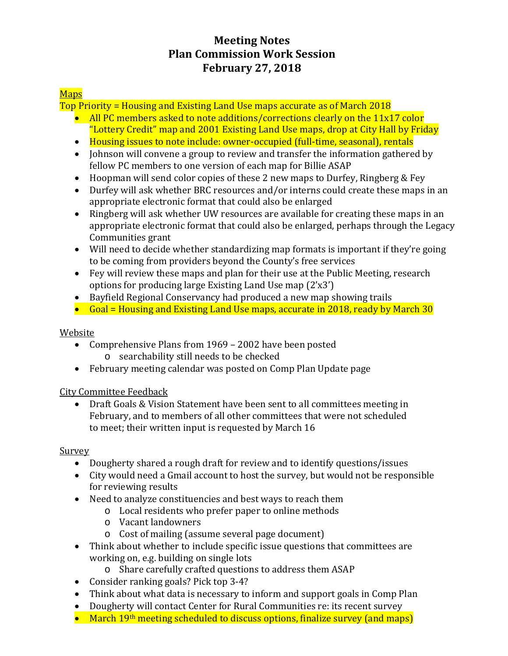# **Meeting Notes Plan Commission Work Session February 27, 2018**

# **Maps**

Top Priority = Housing and Existing Land Use maps accurate as of March 2018

- All PC members asked to note additions/corrections clearly on the 11x17 color "Lottery Credit" map and 2001 Existing Land Use maps, drop at City Hall by Friday
- Housing issues to note include: owner-occupied (full-time, seasonal), rentals
- Johnson will convene a group to review and transfer the information gathered by fellow PC members to one version of each map for Billie ASAP
- Hoopman will send color copies of these 2 new maps to Durfey, Ringberg & Fey
- Durfey will ask whether BRC resources and/or interns could create these maps in an appropriate electronic format that could also be enlarged
- Ringberg will ask whether UW resources are available for creating these maps in an appropriate electronic format that could also be enlarged, perhaps through the Legacy Communities grant
- Will need to decide whether standardizing map formats is important if they're going to be coming from providers beyond the County's free services
- Fey will review these maps and plan for their use at the Public Meeting, research options for producing large Existing Land Use map (2'x3')
- Bayfield Regional Conservancy had produced a new map showing trails
- Goal = Housing and Existing Land Use maps, accurate in 2018, ready by March 30

## Website

- Comprehensive Plans from 1969 2002 have been posted
	- o searchability still needs to be checked
- February meeting calendar was posted on Comp Plan Update page

## City Committee Feedback

• Draft Goals & Vision Statement have been sent to all committees meeting in February, and to members of all other committees that were not scheduled to meet; their written input is requested by March 16

## Survey

- Dougherty shared a rough draft for review and to identify questions/issues
- City would need a Gmail account to host the survey, but would not be responsible for reviewing results
- Need to analyze constituencies and best ways to reach them
	- o Local residents who prefer paper to online methods
		- o Vacant landowners
		- o Cost of mailing (assume several page document)
- Think about whether to include specific issue questions that committees are working on, e.g. building on single lots
	- o Share carefully crafted questions to address them ASAP
- Consider ranking goals? Pick top 3-4?
- Think about what data is necessary to inform and support goals in Comp Plan
- Dougherty will contact Center for Rural Communities re: its recent survey
- March 19<sup>th</sup> meeting scheduled to discuss options, finalize survey (and maps)